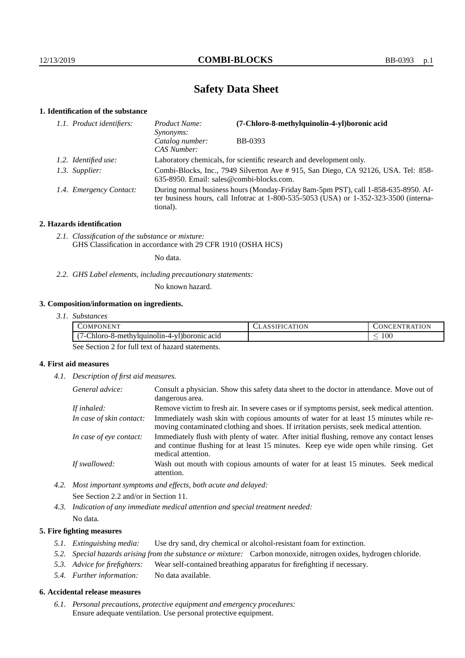# **Safety Data Sheet**

### **1. Identification of the substance**

| 1.1. Product identifiers: | Product Name:<br><i>Synonyms:</i>        | (7-Chloro-8-methylquinolin-4-yl)boronic acid                                                                                                                                    |
|---------------------------|------------------------------------------|---------------------------------------------------------------------------------------------------------------------------------------------------------------------------------|
|                           | Catalog number:<br>CAS Number:           | <b>BB-0393</b>                                                                                                                                                                  |
| 1.2. Identified use:      |                                          | Laboratory chemicals, for scientific research and development only.                                                                                                             |
| 1.3. Supplier:            | 635-8950. Email: sales@combi-blocks.com. | Combi-Blocks, Inc., 7949 Silverton Ave # 915, San Diego, CA 92126, USA. Tel: 858-                                                                                               |
| 1.4. Emergency Contact:   | tional).                                 | During normal business hours (Monday-Friday 8am-5pm PST), call 1-858-635-8950. Af-<br>ter business hours, call Infotrac at $1-800-535-5053$ (USA) or $1-352-323-3500$ (interna- |

#### **2. Hazards identification**

*2.1. Classification of the substance or mixture:* GHS Classification in accordance with 29 CFR 1910 (OSHA HCS)

No data.

*2.2. GHS Label elements, including precautionary statements:*

No known hazard.

### **3. Composition/information on ingredients.**

*3.1. Substances*

| <b>TD</b><br><b>OMPONEN</b>                                                                           | <b>\TION</b> | $\sqrt{1}$<br>ורו |
|-------------------------------------------------------------------------------------------------------|--------------|-------------------|
| $\overline{\phantom{0}}$<br>$\rightarrow$ $\rightarrow$<br>-Chloro-8-methylquinolin-4-yl)boronic acid |              | 100               |

See Section 2 for full text of hazard statements.

#### **4. First aid measures**

*4.1. Description of first aid measures.*

| General advice:          | Consult a physician. Show this safety data sheet to the doctor in attendance. Move out of<br>dangerous area.                                                                                            |
|--------------------------|---------------------------------------------------------------------------------------------------------------------------------------------------------------------------------------------------------|
| If inhaled:              | Remove victim to fresh air. In severe cases or if symptoms persist, seek medical attention.                                                                                                             |
| In case of skin contact: | Immediately wash skin with copious amounts of water for at least 15 minutes while re-<br>moving contaminated clothing and shoes. If irritation persists, seek medical attention.                        |
| In case of eye contact:  | Immediately flush with plenty of water. After initial flushing, remove any contact lenses<br>and continue flushing for at least 15 minutes. Keep eye wide open while rinsing. Get<br>medical attention. |
| If swallowed:            | Wash out mouth with copious amounts of water for at least 15 minutes. Seek medical<br>attention.                                                                                                        |

*4.2. Most important symptoms and effects, both acute and delayed:* See Section 2.2 and/or in Section 11.

*4.3. Indication of any immediate medical attention and special treatment needed:* No data.

#### **5. Fire fighting measures**

- *5.1. Extinguishing media:* Use dry sand, dry chemical or alcohol-resistant foam for extinction.
- *5.2. Special hazards arising from the substance or mixture:* Carbon monoxide, nitrogen oxides, hydrogen chloride.
- *5.3. Advice for firefighters:* Wear self-contained breathing apparatus for firefighting if necessary.
- *5.4. Further information:* No data available.

#### **6. Accidental release measures**

*6.1. Personal precautions, protective equipment and emergency procedures:* Ensure adequate ventilation. Use personal protective equipment.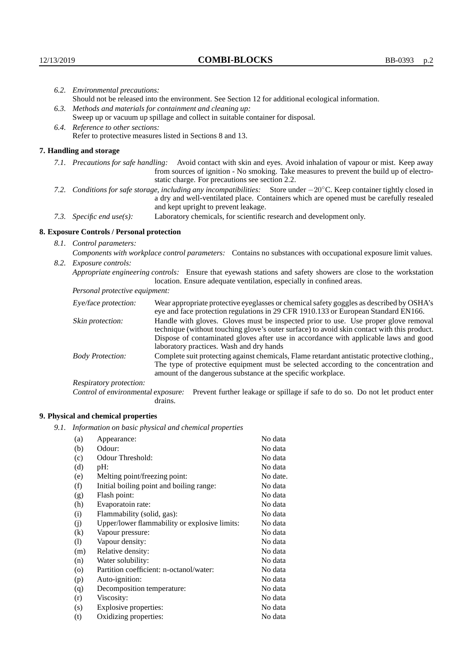| 6.2. Environmental precautions:                                                                                                                                                                                                                                     |                                                                                                                                                                                                                                                                    |  |
|---------------------------------------------------------------------------------------------------------------------------------------------------------------------------------------------------------------------------------------------------------------------|--------------------------------------------------------------------------------------------------------------------------------------------------------------------------------------------------------------------------------------------------------------------|--|
|                                                                                                                                                                                                                                                                     | Should not be released into the environment. See Section 12 for additional ecological information.                                                                                                                                                                 |  |
|                                                                                                                                                                                                                                                                     | 6.3. Methods and materials for containment and cleaning up:                                                                                                                                                                                                        |  |
| Sweep up or vacuum up spillage and collect in suitable container for disposal.                                                                                                                                                                                      |                                                                                                                                                                                                                                                                    |  |
| 6.4. Reference to other sections:                                                                                                                                                                                                                                   |                                                                                                                                                                                                                                                                    |  |
|                                                                                                                                                                                                                                                                     | Refer to protective measures listed in Sections 8 and 13.                                                                                                                                                                                                          |  |
| 7. Handling and storage                                                                                                                                                                                                                                             |                                                                                                                                                                                                                                                                    |  |
|                                                                                                                                                                                                                                                                     | 7.1. Precautions for safe handling: Avoid contact with skin and eyes. Avoid inhalation of vapour or mist. Keep away<br>from sources of ignition - No smoking. Take measures to prevent the build up of electro-<br>static charge. For precautions see section 2.2. |  |
| 7.2. Conditions for safe storage, including any incompatibilities: Store under $-20^{\circ}$ C. Keep container tightly closed in<br>a dry and well-ventilated place. Containers which are opened must be carefully resealed<br>and kept upright to prevent leakage. |                                                                                                                                                                                                                                                                    |  |
| 7.3. Specific end use(s):                                                                                                                                                                                                                                           | Laboratory chemicals, for scientific research and development only.                                                                                                                                                                                                |  |
| 8. Exposure Controls / Personal protection                                                                                                                                                                                                                          |                                                                                                                                                                                                                                                                    |  |
| 8.1. Control parameters:                                                                                                                                                                                                                                            |                                                                                                                                                                                                                                                                    |  |
| Components with workplace control parameters: Contains no substances with occupational exposure limit values.                                                                                                                                                       |                                                                                                                                                                                                                                                                    |  |
| 8.2. Exposure controls:                                                                                                                                                                                                                                             |                                                                                                                                                                                                                                                                    |  |
| Appropriate engineering controls: Ensure that eyewash stations and safety showers are close to the workstation<br>location. Ensure adequate ventilation, especially in confined areas.                                                                              |                                                                                                                                                                                                                                                                    |  |
| Personal protective equipment:                                                                                                                                                                                                                                      |                                                                                                                                                                                                                                                                    |  |
| Eye/face protection:                                                                                                                                                                                                                                                | Wear appropriate protective eyeglasses or chemical safety goggles as described by OSHA's<br>eye and face protection regulations in 29 CFR 1910.133 or European Standard EN166.                                                                                     |  |
| Skin protection:                                                                                                                                                                                                                                                    | Handle with gloves. Gloves must be inspected prior to use. Use proper glove removal<br>technique (without touching glove's outer surface) to avoid skin contact with this product.                                                                                 |  |

### **8. Exposure Controls / Personal protection**

| Eye/face protection:               | Wear appropriate protective eyeglasses or chemical safety goggles as described by OSHA's<br>eye and face protection regulations in 29 CFR 1910.133 or European Standard EN166.                                                                                                                                         |
|------------------------------------|------------------------------------------------------------------------------------------------------------------------------------------------------------------------------------------------------------------------------------------------------------------------------------------------------------------------|
| Skin protection:                   | Handle with gloves. Gloves must be inspected prior to use. Use proper glove removal<br>technique (without touching glove's outer surface) to avoid skin contact with this product.<br>Dispose of contaminated gloves after use in accordance with applicable laws and good<br>laboratory practices. Wash and dry hands |
| <b>Body Protection:</b>            | Complete suit protecting against chemicals, Flame retardant antistatic protective clothing.,<br>The type of protective equipment must be selected according to the concentration and<br>amount of the dangerous substance at the specific workplace.                                                                   |
| Respiratory protection:            |                                                                                                                                                                                                                                                                                                                        |
| Control of environmental exposure: | Prevent further leakage or spillage if safe to do so. Do not let product enter<br>drains.                                                                                                                                                                                                                              |

### **9. Physical and chemical properties**

*9.1. Information on basic physical and chemical properties*

| (a)      | Appearance:                                   | No data  |
|----------|-----------------------------------------------|----------|
| (b)      | Odour:                                        | No data  |
| (c)      | Odour Threshold:                              | No data  |
| (d)      | pH:                                           | No data  |
| (e)      | Melting point/freezing point:                 | No date. |
| (f)      | Initial boiling point and boiling range:      | No data  |
| (g)      | Flash point:                                  | No data  |
| (h)      | Evaporatoin rate:                             | No data  |
| (i)      | Flammability (solid, gas):                    | No data  |
| (j)      | Upper/lower flammability or explosive limits: | No data  |
| $\rm(k)$ | Vapour pressure:                              | No data  |
| (1)      | Vapour density:                               | No data  |
| (m)      | Relative density:                             | No data  |
| (n)      | Water solubility:                             | No data  |
| (0)      | Partition coefficient: n-octanol/water:       | No data  |
| (p)      | Auto-ignition:                                | No data  |
| (q)      | Decomposition temperature:                    | No data  |
| (r)      | Viscosity:                                    | No data  |
| (s)      | Explosive properties:                         | No data  |
| (t)      | Oxidizing properties:                         | No data  |